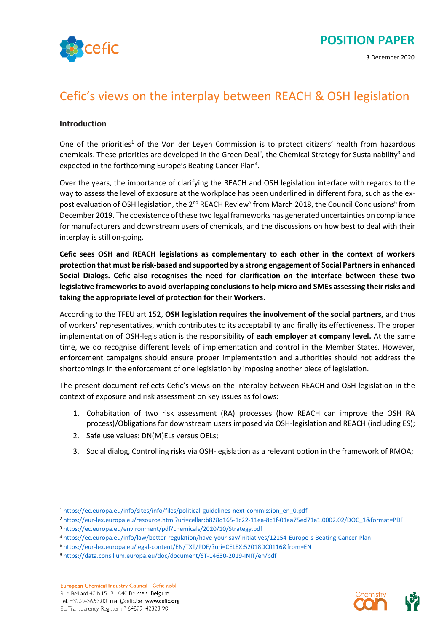

# Cefic's views on the interplay between REACH & OSH legislation

#### **Introduction**

One of the priorities<sup>1</sup> of the Von der Leyen Commission is to protect citizens' health from hazardous chemicals. These priorities are developed in the Green Deal<sup>2</sup>, the Chemical Strategy for Sustainability<sup>3</sup> and expected in the forthcoming Europe's Beating Cancer Plan<sup>4</sup>.

Over the years, the importance of clarifying the REACH and OSH legislation interface with regards to the way to assess the level of exposure at the workplace has been underlined in different fora, such as the expost evaluation of OSH legislation, the 2<sup>nd</sup> REACH Review<sup>5</sup> from March 2018, the Council Conclusions<sup>6</sup> from December 2019. The coexistence of these two legal frameworks has generated uncertainties on compliance for manufacturers and downstream users of chemicals, and the discussions on how best to deal with their interplay is still on-going.

**Cefic sees OSH and REACH legislations as complementary to each other in the context of workers protection that must be risk-based and supported by a strong engagement of Social Partners in enhanced Social Dialogs. Cefic also recognises the need for clarification on the interface between these two legislative frameworks to avoid overlapping conclusions to help micro and SMEs assessing their risks and taking the appropriate level of protection for their Workers.**

According to the TFEU art 152, **OSH legislation requires the involvement of the social partners,** and thus of workers' representatives, which contributes to its acceptability and finally its effectiveness. The proper implementation of OSH-legislation is the responsibility of **each employer at company level.** At the same time, we do recognise different levels of implementation and control in the Member States. However, enforcement campaigns should ensure proper implementation and authorities should not address the shortcomings in the enforcement of one legislation by imposing another piece of legislation.

The present document reflects Cefic's views on the interplay between REACH and OSH legislation in the context of exposure and risk assessment on key issues as follows:

- 1. Cohabitation of two risk assessment (RA) processes (how REACH can improve the OSH RA process)/Obligations for downstream users imposed via OSH-legislation and REACH (including ES);
- 2. Safe use values: DN(M)ELs versus OELs;
- 3. Social dialog, Controlling risks via OSH-legislation as a relevant option in the framework of RMOA;

- <sup>4</sup> <https://ec.europa.eu/info/law/better-regulation/have-your-say/initiatives/12154-Europe-s-Beating-Cancer-Plan>
- <sup>5</sup> <https://eur-lex.europa.eu/legal-content/EN/TXT/PDF/?uri=CELEX:52018DC0116&from=EN>
- <sup>6</sup> <https://data.consilium.europa.eu/doc/document/ST-14630-2019-INIT/en/pdf>

European Chemical Industry Council - Cefic aisbl Rue Belliard 40 b.15 B-1040 Brussels Belgium Tel. +32.2.436.93.00 mail@cefic.be www.cefic.org EU Transparency Register n° 64879142323-90



<sup>1</sup> [https://ec.europa.eu/info/sites/info/files/political-guidelines-next-commission\\_en\\_0.pdf](https://ec.europa.eu/info/sites/info/files/political-guidelines-next-commission_en_0.pdf)

<sup>2</sup> [https://eur-lex.europa.eu/resource.html?uri=cellar:b828d165-1c22-11ea-8c1f-01aa75ed71a1.0002.02/DOC\\_1&format=PDF](https://eur-lex.europa.eu/resource.html?uri=cellar:b828d165-1c22-11ea-8c1f-01aa75ed71a1.0002.02/DOC_1&format=PDF)

<sup>3</sup> <https://ec.europa.eu/environment/pdf/chemicals/2020/10/Strategy.pdf>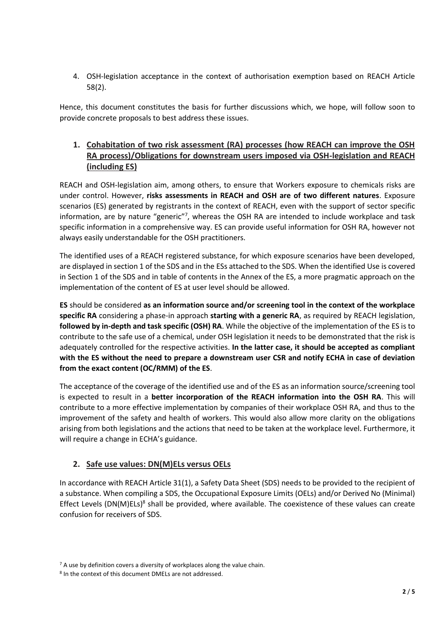4. OSH-legislation acceptance in the context of authorisation exemption based on REACH Article 58(2).

Hence, this document constitutes the basis for further discussions which, we hope, will follow soon to provide concrete proposals to best address these issues.

## **1. Cohabitation of two risk assessment (RA) processes (how REACH can improve the OSH RA process)/Obligations for downstream users imposed via OSH-legislation and REACH (including ES)**

REACH and OSH-legislation aim, among others, to ensure that Workers exposure to chemicals risks are under control. However, **risks assessments in REACH and OSH are of two different natures**. Exposure scenarios (ES) generated by registrants in the context of REACH, even with the support of sector specific information, are by nature "generic"7, whereas the OSH RA are intended to include workplace and task specific information in a comprehensive way. ES can provide useful information for OSH RA, however not always easily understandable for the OSH practitioners.

The identified uses of a REACH registered substance, for which exposure scenarios have been developed, are displayed in section 1 of the SDS and in the ESs attached to the SDS. When the identified Use is covered in Section 1 of the SDS and in table of contents in the Annex of the ES, a more pragmatic approach on the implementation of the content of ES at user level should be allowed.

**ES** should be considered **as an information source and/or screening tool in the context of the workplace specific RA** considering a phase-in approach **starting with a generic RA**, as required by REACH legislation, **followed by in-depth and task specific (OSH) RA**. While the objective of the implementation of the ES is to contribute to the safe use of a chemical, under OSH legislation it needs to be demonstrated that the risk is adequately controlled for the respective activities. **In the latter case, it should be accepted as compliant with the ES without the need to prepare a downstream user CSR and notify ECHA in case of deviation from the exact content (OC/RMM) of the ES**.

The acceptance of the coverage of the identified use and of the ES as an information source/screening tool is expected to result in a **better incorporation of the REACH information into the OSH RA**. This will contribute to a more effective implementation by companies of their workplace OSH RA, and thus to the improvement of the safety and health of workers. This would also allow more clarity on the obligations arising from both legislations and the actions that need to be taken at the workplace level. Furthermore, it will require a change in ECHA's guidance.

### **2. Safe use values: DN(M)ELs versus OELs**

In accordance with REACH Article 31(1), a Safety Data Sheet (SDS) needs to be provided to the recipient of a substance. When compiling a SDS, the Occupational Exposure Limits (OELs) and/or Derived No (Minimal) Effect Levels (DN(M)ELs)<sup>8</sup> shall be provided, where available. The coexistence of these values can create confusion for receivers of SDS.

<sup>&</sup>lt;sup>7</sup> A use by definition covers a diversity of workplaces along the value chain.

<sup>8</sup> In the context of this document DMELs are not addressed.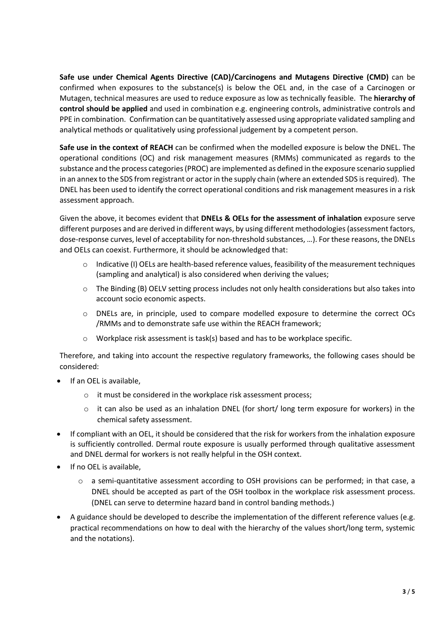**Safe use under Chemical Agents Directive (CAD)/Carcinogens and Mutagens Directive (CMD)** can be confirmed when exposures to the substance(s) is below the OEL and, in the case of a Carcinogen or Mutagen, technical measures are used to reduce exposure as low as technically feasible. The **hierarchy of control should be applied** and used in combination e.g. engineering controls, administrative controls and PPE in combination. Confirmation can be quantitatively assessed using appropriate validated sampling and analytical methods or qualitatively using professional judgement by a competent person.

**Safe use in the context of REACH** can be confirmed when the modelled exposure is below the DNEL. The operational conditions (OC) and risk management measures (RMMs) communicated as regards to the substance and the process categories (PROC) are implemented as defined in the exposure scenario supplied in an annex to the SDS from registrant or actor in the supply chain (where an extended SDS is required). The DNEL has been used to identify the correct operational conditions and risk management measures in a risk assessment approach.

Given the above, it becomes evident that **DNELs & OELs for the assessment of inhalation** exposure serve different purposes and are derived in different ways, by using different methodologies (assessment factors, dose-response curves, level of acceptability for non-threshold substances, …). For these reasons, the DNELs and OELs can coexist. Furthermore, it should be acknowledged that:

- o Indicative (I) OELs are health-based reference values, feasibility of the measurement techniques (sampling and analytical) is also considered when deriving the values;
- o The Binding (B) OELV setting process includes not only health considerations but also takes into account socio economic aspects.
- o DNELs are, in principle, used to compare modelled exposure to determine the correct OCs /RMMs and to demonstrate safe use within the REACH framework;
- o Workplace risk assessment is task(s) based and has to be workplace specific.

Therefore, and taking into account the respective regulatory frameworks, the following cases should be considered:

- If an OEL is available,
	- o it must be considered in the workplace risk assessment process;
	- $\circ$  it can also be used as an inhalation DNEL (for short/ long term exposure for workers) in the chemical safety assessment.
- If compliant with an OEL, it should be considered that the risk for workers from the inhalation exposure is sufficiently controlled. Dermal route exposure is usually performed through qualitative assessment and DNEL dermal for workers is not really helpful in the OSH context.
- If no OEL is available,
	- o a semi-quantitative assessment according to OSH provisions can be performed; in that case, a DNEL should be accepted as part of the OSH toolbox in the workplace risk assessment process. (DNEL can serve to determine hazard band in control banding methods.)
- A guidance should be developed to describe the implementation of the different reference values (e.g. practical recommendations on how to deal with the hierarchy of the values short/long term, systemic and the notations).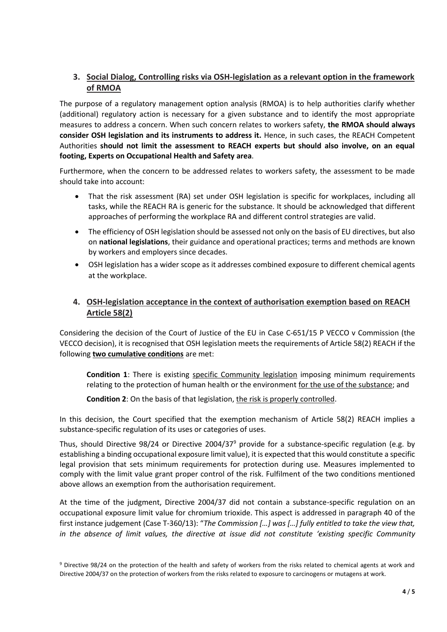## **3. Social Dialog, Controlling risks via OSH-legislation as a relevant option in the framework of RMOA**

The purpose of a regulatory management option analysis (RMOA) is to help authorities clarify whether (additional) regulatory action is necessary for a given substance and to identify the most appropriate measures to address a concern. When such concern relates to workers safety, **the RMOA should always consider OSH legislation and its instruments to address it.** Hence, in such cases, the REACH Competent Authorities **should not limit the assessment to REACH experts but should also involve, on an equal footing, Experts on Occupational Health and Safety area**.

Furthermore, when the concern to be addressed relates to workers safety, the assessment to be made should take into account:

- That the risk assessment (RA) set under OSH legislation is specific for workplaces, including all tasks, while the REACH RA is generic for the substance. It should be acknowledged that different approaches of performing the workplace RA and different control strategies are valid.
- The efficiency of OSH legislation should be assessed not only on the basis of EU directives, but also on **national legislations**, their guidance and operational practices; terms and methods are known by workers and employers since decades.
- OSH legislation has a wider scope as it addresses combined exposure to different chemical agents at the workplace.

### **4. OSH-legislation acceptance in the context of authorisation exemption based on REACH Article 58(2)**

Considering the decision of the Court of Justice of the EU in Case C-651/15 P VECCO v Commission (the VECCO decision), it is recognised that OSH legislation meets the requirements of Article 58(2) REACH if the following **two cumulative conditions** are met:

**Condition 1**: There is existing specific Community legislation imposing minimum requirements relating to the protection of human health or the environment for the use of the substance; and

### **Condition 2**: On the basis of that legislation, the risk is properly controlled.

In this decision, the Court specified that the exemption mechanism of Article 58(2) REACH implies a substance-specific regulation of its uses or categories of uses.

Thus, should Directive 98/24 or Directive 2004/37<sup>9</sup> provide for a substance-specific regulation (e.g. by establishing a binding occupational exposure limit value), it is expected that this would constitute a specific legal provision that sets minimum requirements for protection during use. Measures implemented to comply with the limit value grant proper control of the risk. Fulfilment of the two conditions mentioned above allows an exemption from the authorisation requirement.

At the time of the judgment, Directive 2004/37 did not contain a substance-specific regulation on an occupational exposure limit value for chromium trioxide. This aspect is addressed in paragraph 40 of the first instance judgement (Case T-360/13): "*The Commission […] was […] fully entitled to take the view that, in the absence of limit values, the directive at issue did not constitute 'existing specific Community* 

<sup>9</sup> Directive 98/24 on the protection of the health and safety of workers from the risks related to chemical agents at work and Directive 2004/37 on the protection of workers from the risks related to exposure to carcinogens or mutagens at work.